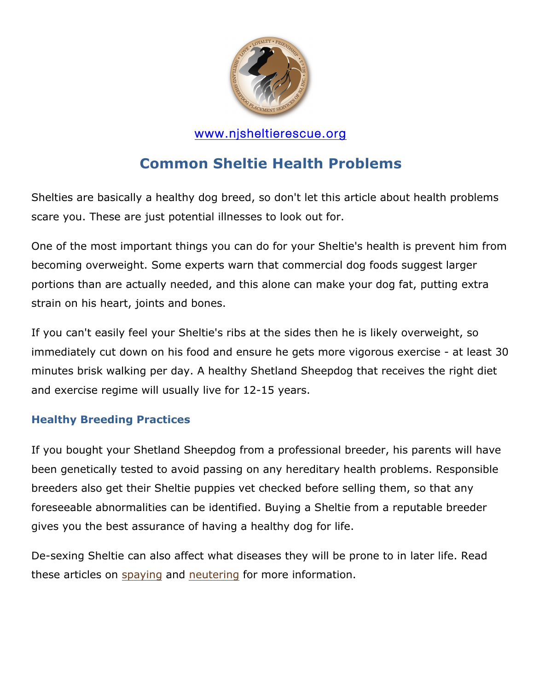

# **Common Sheltie Health Problems**

Shelties are basically a healthy dog breed, so don't let this article about health problems scare you. These are just potential illnesses to look out for.

One of the most important things you can do for your Sheltie's health is prevent him from becoming overweight. Some experts warn that commercial dog foods suggest larger portions than are actually needed, and this alone can make your dog fat, putting extra strain on his heart, joints and bones.

If you can't easily feel your Sheltie's ribs at the sides then he is likely overweight, so immediately cut down on his food and ensure he gets more vigorous exercise - at least 30 minutes brisk walking per day. A healthy Shetland Sheepdog that receives the right diet and exercise regime will usually live for 12-15 years.

#### **Healthy Breeding Practices**

If you bought your Shetland Sheepdog from a professional breeder, his parents will have been genetically tested to avoid passing on any hereditary health problems. Responsible breeders also get their Sheltie puppies vet checked before selling them, so that any foreseeable abnormalities can be identified. Buying a Sheltie from a reputable breeder gives you the best assurance of having a healthy dog for life.

De-sexing Sheltie can also affect what diseases they will be prone to in later life. Read these articles on spaying and neutering for more information.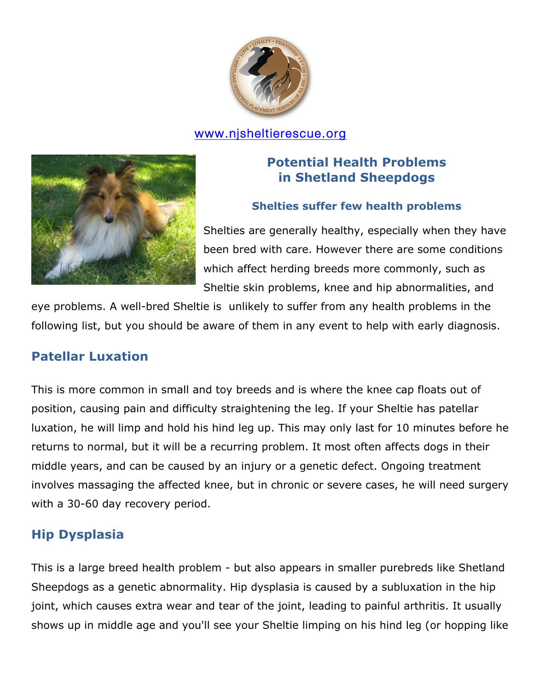



## **Potential Health Problems in Shetland Sheepdogs**

#### **Shelties suffer few health problems**

Shelties are generally healthy, especially when they have been bred with care. However there are some conditions which affect herding breeds more commonly, such as Sheltie skin problems, knee and hip abnormalities, and

eye problems. A well-bred Sheltie is unlikely to suffer from any health problems in the following list, but you should be aware of them in any event to help with early diagnosis.

## **Patellar Luxation**

This is more common in small and toy breeds and is where the knee cap floats out of position, causing pain and difficulty straightening the leg. If your Sheltie has patellar luxation, he will limp and hold his hind leg up. This may only last for 10 minutes before he returns to normal, but it will be a recurring problem. It most often affects dogs in their middle years, and can be caused by an injury or a genetic defect. Ongoing treatment involves massaging the affected knee, but in chronic or severe cases, he will need surgery with a 30-60 day recovery period.

## **Hip Dysplasia**

This is a large breed health problem - but also appears in smaller purebreds like Shetland Sheepdogs as a genetic abnormality. Hip dysplasia is caused by a subluxation in the hip joint, which causes extra wear and tear of the joint, leading to painful arthritis. It usually shows up in middle age and you'll see your Sheltie limping on his hind leg (or hopping like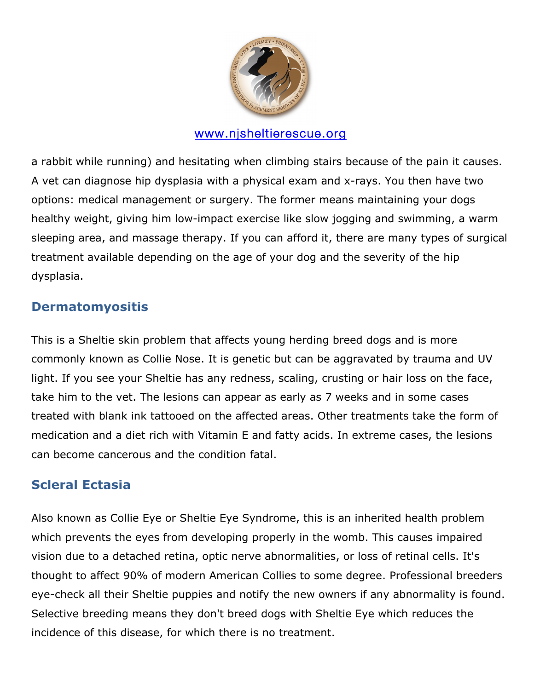

a rabbit while running) and hesitating when climbing stairs because of the pain it causes. A vet can diagnose hip dysplasia with a physical exam and x-rays. You then have two options: medical management or surgery. The former means maintaining your dogs healthy weight, giving him low-impact exercise like slow jogging and swimming, a warm sleeping area, and massage therapy. If you can afford it, there are many types of surgical treatment available depending on the age of your dog and the severity of the hip dysplasia.

## **Dermatomyositis**

This is a Sheltie skin problem that affects young herding breed dogs and is more commonly known as Collie Nose. It is genetic but can be aggravated by trauma and UV light. If you see your Sheltie has any redness, scaling, crusting or hair loss on the face, take him to the vet. The lesions can appear as early as 7 weeks and in some cases treated with blank ink tattooed on the affected areas. Other treatments take the form of medication and a diet rich with Vitamin E and fatty acids. In extreme cases, the lesions can become cancerous and the condition fatal.

## **Scleral Ectasia**

Also known as Collie Eye or Sheltie Eye Syndrome, this is an inherited health problem which prevents the eyes from developing properly in the womb. This causes impaired vision due to a detached retina, optic nerve abnormalities, or loss of retinal cells. It's thought to affect 90% of modern American Collies to some degree. Professional breeders eye-check all their Sheltie puppies and notify the new owners if any abnormality is found. Selective breeding means they don't breed dogs with Sheltie Eye which reduces the incidence of this disease, for which there is no treatment.